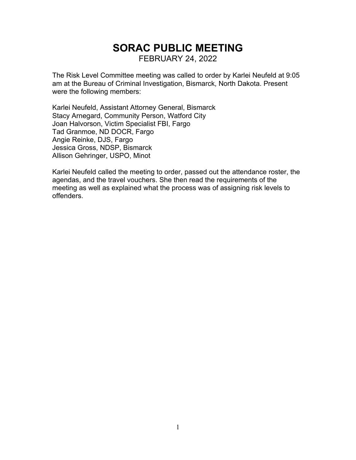# **SORAC PUBLIC MEETING** FEBRUARY 24, 2022

The Risk Level Committee meeting was called to order by Karlei Neufeld at 9:05 am at the Bureau of Criminal Investigation, Bismarck, North Dakota. Present were the following members:

Karlei Neufeld, Assistant Attorney General, Bismarck Stacy Arnegard, Community Person, Watford City Joan Halvorson, Victim Specialist FBI, Fargo Tad Granmoe, ND DOCR, Fargo Angie Reinke, DJS, Fargo Jessica Gross, NDSP, Bismarck Allison Gehringer, USPO, Minot

Karlei Neufeld called the meeting to order, passed out the attendance roster, the agendas, and the travel vouchers. She then read the requirements of the meeting as well as explained what the process was of assigning risk levels to offenders.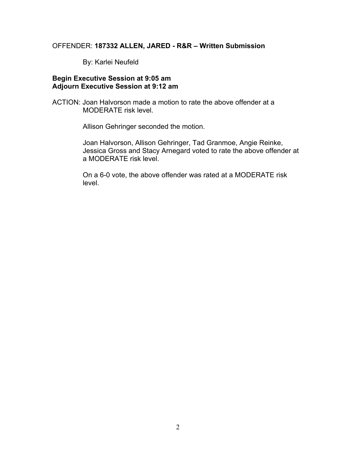## OFFENDER: **187332 ALLEN, JARED - R&R – Written Submission**

By: Karlei Neufeld

#### **Begin Executive Session at 9:05 am Adjourn Executive Session at 9:12 am**

ACTION: Joan Halvorson made a motion to rate the above offender at a MODERATE risk level.

Allison Gehringer seconded the motion.

Joan Halvorson, Allison Gehringer, Tad Granmoe, Angie Reinke, Jessica Gross and Stacy Arnegard voted to rate the above offender at a MODERATE risk level.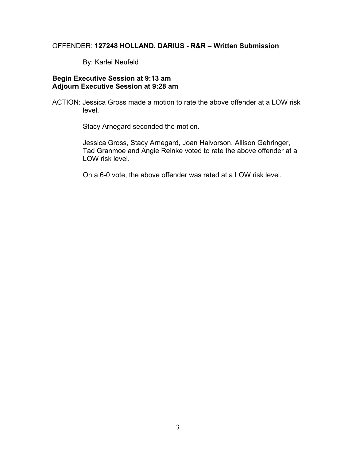#### OFFENDER: **127248 HOLLAND, DARIUS - R&R – Written Submission**

By: Karlei Neufeld

#### **Begin Executive Session at 9:13 am Adjourn Executive Session at 9:28 am**

ACTION: Jessica Gross made a motion to rate the above offender at a LOW risk level.

Stacy Arnegard seconded the motion.

Jessica Gross, Stacy Arnegard, Joan Halvorson, Allison Gehringer, Tad Granmoe and Angie Reinke voted to rate the above offender at a LOW risk level.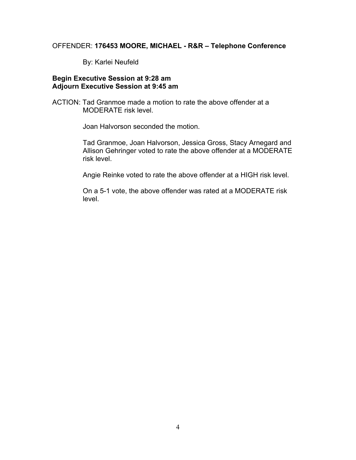## OFFENDER: **176453 MOORE, MICHAEL - R&R – Telephone Conference**

By: Karlei Neufeld

#### **Begin Executive Session at 9:28 am Adjourn Executive Session at 9:45 am**

ACTION: Tad Granmoe made a motion to rate the above offender at a MODERATE risk level.

Joan Halvorson seconded the motion.

Tad Granmoe, Joan Halvorson, Jessica Gross, Stacy Arnegard and Allison Gehringer voted to rate the above offender at a MODERATE risk level.

Angie Reinke voted to rate the above offender at a HIGH risk level.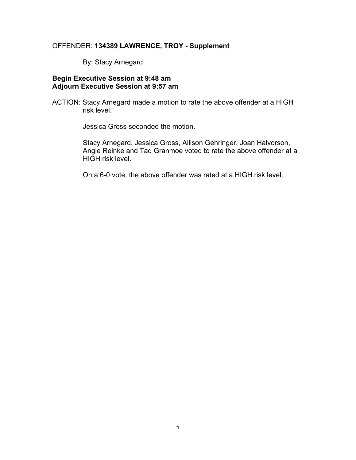## OFFENDER: **134389 LAWRENCE, TROY - Supplement**

By: Stacy Arnegard

## **Begin Executive Session at 9:48 am Adjourn Executive Session at 9:57 am**

ACTION: Stacy Arnegard made a motion to rate the above offender at a HIGH risk level.

Jessica Gross seconded the motion.

Stacy Arnegard, Jessica Gross, Allison Gehringer, Joan Halvorson, Angie Reinke and Tad Granmoe voted to rate the above offender at a HIGH risk level.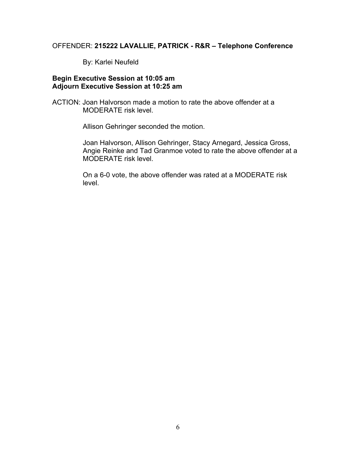## OFFENDER: **215222 LAVALLIE, PATRICK - R&R – Telephone Conference**

By: Karlei Neufeld

## **Begin Executive Session at 10:05 am Adjourn Executive Session at 10:25 am**

ACTION: Joan Halvorson made a motion to rate the above offender at a MODERATE risk level.

Allison Gehringer seconded the motion.

Joan Halvorson, Allison Gehringer, Stacy Arnegard, Jessica Gross, Angie Reinke and Tad Granmoe voted to rate the above offender at a MODERATE risk level.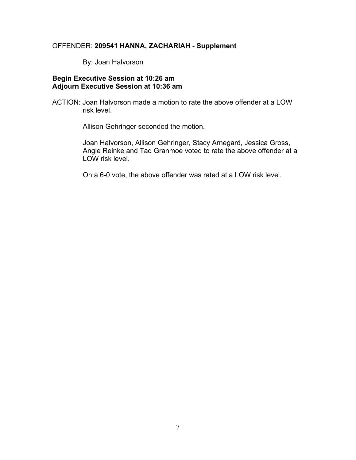## OFFENDER: **209541 HANNA, ZACHARIAH - Supplement**

By: Joan Halvorson

## **Begin Executive Session at 10:26 am Adjourn Executive Session at 10:36 am**

ACTION: Joan Halvorson made a motion to rate the above offender at a LOW risk level.

Allison Gehringer seconded the motion.

Joan Halvorson, Allison Gehringer, Stacy Arnegard, Jessica Gross, Angie Reinke and Tad Granmoe voted to rate the above offender at a LOW risk level.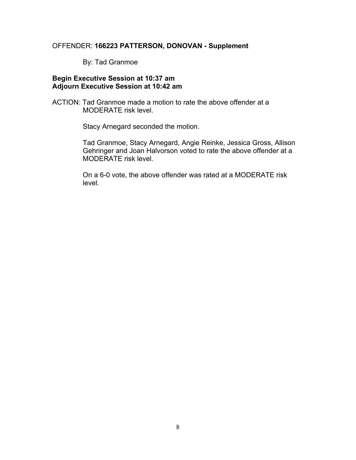## OFFENDER: **166223 PATTERSON, DONOVAN - Supplement**

By: Tad Granmoe

#### **Begin Executive Session at 10:37 am Adjourn Executive Session at 10:42 am**

ACTION: Tad Granmoe made a motion to rate the above offender at a MODERATE risk level.

Stacy Arnegard seconded the motion.

Tad Granmoe, Stacy Arnegard, Angie Reinke, Jessica Gross, Allison Gehringer and Joan Halvorson voted to rate the above offender at a MODERATE risk level.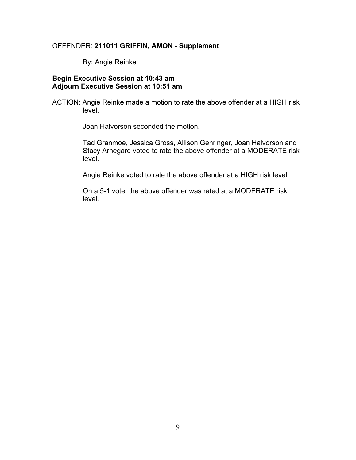#### OFFENDER: **211011 GRIFFIN, AMON - Supplement**

By: Angie Reinke

#### **Begin Executive Session at 10:43 am Adjourn Executive Session at 10:51 am**

ACTION: Angie Reinke made a motion to rate the above offender at a HIGH risk level.

Joan Halvorson seconded the motion.

Tad Granmoe, Jessica Gross, Allison Gehringer, Joan Halvorson and Stacy Arnegard voted to rate the above offender at a MODERATE risk level.

Angie Reinke voted to rate the above offender at a HIGH risk level.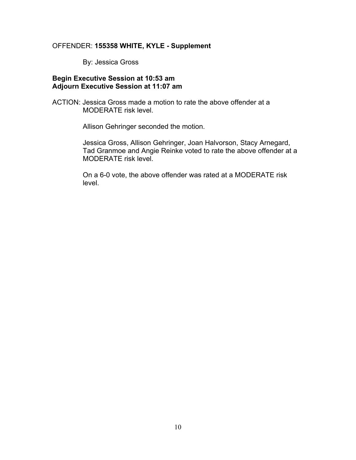#### OFFENDER: **155358 WHITE, KYLE - Supplement**

By: Jessica Gross

#### **Begin Executive Session at 10:53 am Adjourn Executive Session at 11:07 am**

ACTION: Jessica Gross made a motion to rate the above offender at a MODERATE risk level.

Allison Gehringer seconded the motion.

Jessica Gross, Allison Gehringer, Joan Halvorson, Stacy Arnegard, Tad Granmoe and Angie Reinke voted to rate the above offender at a MODERATE risk level.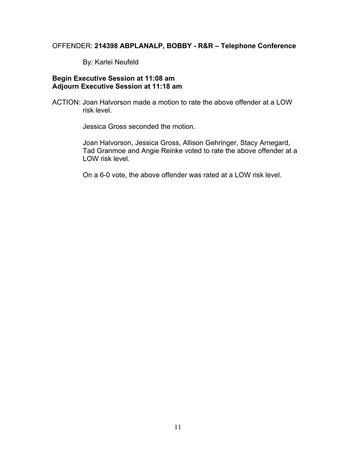#### OFFENDER: **214398 ABPLANALP, BOBBY - R&R – Telephone Conference**

By: Karlei Neufeld

## **Begin Executive Session at 11:08 am Adjourn Executive Session at 11:18 am**

ACTION: Joan Halvorson made a motion to rate the above offender at a LOW risk level.

Jessica Gross seconded the motion.

Joan Halvorson, Jessica Gross, Allison Gehringer, Stacy Arnegard, Tad Granmoe and Angie Reinke voted to rate the above offender at a LOW risk level.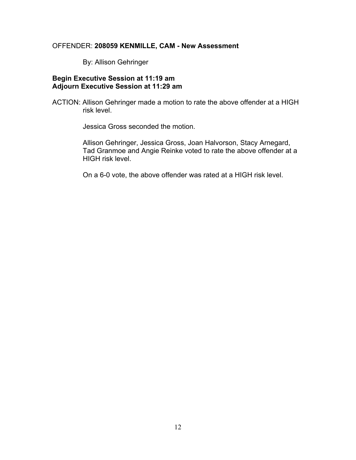## OFFENDER: **208059 KENMILLE, CAM - New Assessment**

By: Allison Gehringer

#### **Begin Executive Session at 11:19 am Adjourn Executive Session at 11:29 am**

ACTION: Allison Gehringer made a motion to rate the above offender at a HIGH risk level.

Jessica Gross seconded the motion.

Allison Gehringer, Jessica Gross, Joan Halvorson, Stacy Arnegard, Tad Granmoe and Angie Reinke voted to rate the above offender at a HIGH risk level.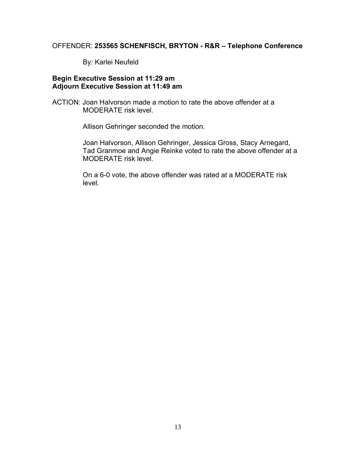## OFFENDER: **253565 SCHENFISCH, BRYTON - R&R – Telephone Conference**

By: Karlei Neufeld

#### **Begin Executive Session at 11:29 am Adjourn Executive Session at 11:49 am**

ACTION: Joan Halvorson made a motion to rate the above offender at a MODERATE risk level.

Allison Gehringer seconded the motion.

Joan Halvorson, Allison Gehringer, Jessica Gross, Stacy Arnegard, Tad Granmoe and Angie Reinke voted to rate the above offender at a MODERATE risk level.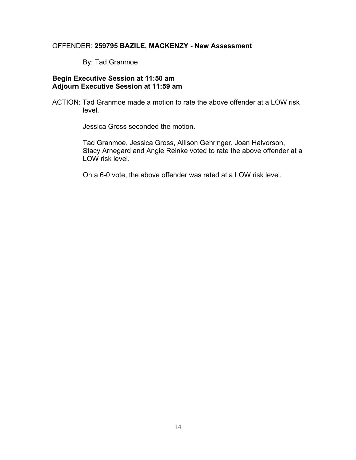#### OFFENDER: **259795 BAZILE, MACKENZY - New Assessment**

By: Tad Granmoe

## **Begin Executive Session at 11:50 am Adjourn Executive Session at 11:59 am**

ACTION: Tad Granmoe made a motion to rate the above offender at a LOW risk level.

Jessica Gross seconded the motion.

Tad Granmoe, Jessica Gross, Allison Gehringer, Joan Halvorson, Stacy Arnegard and Angie Reinke voted to rate the above offender at a LOW risk level.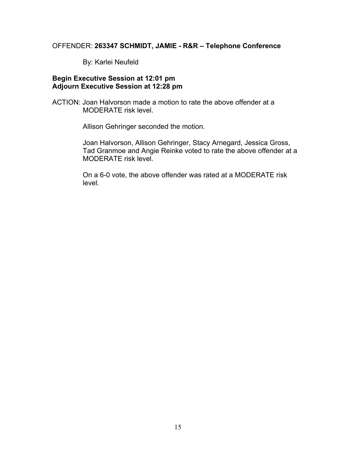## OFFENDER: **263347 SCHMIDT, JAMIE - R&R – Telephone Conference**

By: Karlei Neufeld

#### **Begin Executive Session at 12:01 pm Adjourn Executive Session at 12:28 pm**

ACTION: Joan Halvorson made a motion to rate the above offender at a MODERATE risk level.

Allison Gehringer seconded the motion.

Joan Halvorson, Allison Gehringer, Stacy Arnegard, Jessica Gross, Tad Granmoe and Angie Reinke voted to rate the above offender at a MODERATE risk level.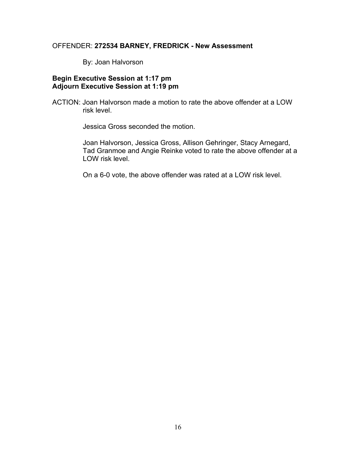#### OFFENDER: **272534 BARNEY, FREDRICK - New Assessment**

By: Joan Halvorson

#### **Begin Executive Session at 1:17 pm Adjourn Executive Session at 1:19 pm**

ACTION: Joan Halvorson made a motion to rate the above offender at a LOW risk level.

Jessica Gross seconded the motion.

Joan Halvorson, Jessica Gross, Allison Gehringer, Stacy Arnegard, Tad Granmoe and Angie Reinke voted to rate the above offender at a LOW risk level.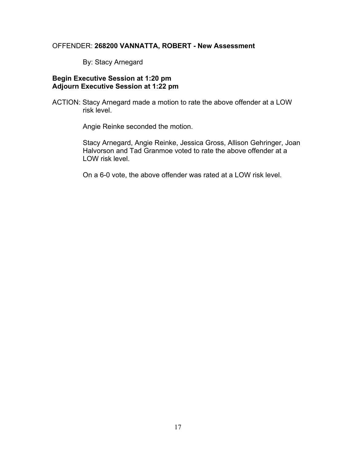#### OFFENDER: **268200 VANNATTA, ROBERT - New Assessment**

By: Stacy Arnegard

## **Begin Executive Session at 1:20 pm Adjourn Executive Session at 1:22 pm**

ACTION: Stacy Arnegard made a motion to rate the above offender at a LOW risk level.

Angie Reinke seconded the motion.

Stacy Arnegard, Angie Reinke, Jessica Gross, Allison Gehringer, Joan Halvorson and Tad Granmoe voted to rate the above offender at a LOW risk level.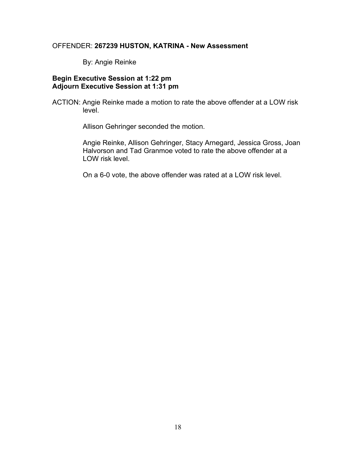#### OFFENDER: **267239 HUSTON, KATRINA - New Assessment**

By: Angie Reinke

#### **Begin Executive Session at 1:22 pm Adjourn Executive Session at 1:31 pm**

ACTION: Angie Reinke made a motion to rate the above offender at a LOW risk level.

Allison Gehringer seconded the motion.

Angie Reinke, Allison Gehringer, Stacy Arnegard, Jessica Gross, Joan Halvorson and Tad Granmoe voted to rate the above offender at a LOW risk level.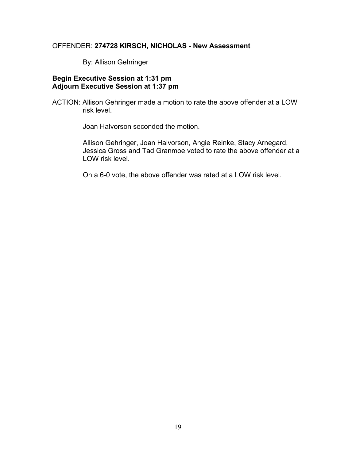#### OFFENDER: **274728 KIRSCH, NICHOLAS - New Assessment**

By: Allison Gehringer

#### **Begin Executive Session at 1:31 pm Adjourn Executive Session at 1:37 pm**

ACTION: Allison Gehringer made a motion to rate the above offender at a LOW risk level.

Joan Halvorson seconded the motion.

Allison Gehringer, Joan Halvorson, Angie Reinke, Stacy Arnegard, Jessica Gross and Tad Granmoe voted to rate the above offender at a LOW risk level.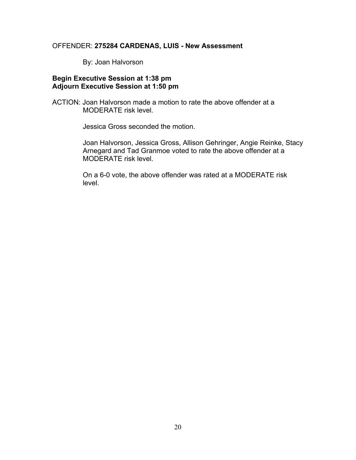#### OFFENDER: **275284 CARDENAS, LUIS - New Assessment**

By: Joan Halvorson

#### **Begin Executive Session at 1:38 pm Adjourn Executive Session at 1:50 pm**

ACTION: Joan Halvorson made a motion to rate the above offender at a MODERATE risk level.

Jessica Gross seconded the motion.

Joan Halvorson, Jessica Gross, Allison Gehringer, Angie Reinke, Stacy Arnegard and Tad Granmoe voted to rate the above offender at a MODERATE risk level.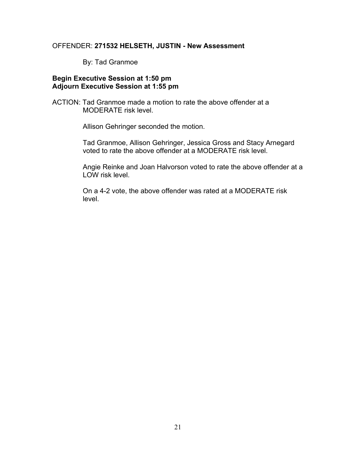#### OFFENDER: **271532 HELSETH, JUSTIN - New Assessment**

By: Tad Granmoe

#### **Begin Executive Session at 1:50 pm Adjourn Executive Session at 1:55 pm**

ACTION: Tad Granmoe made a motion to rate the above offender at a MODERATE risk level.

Allison Gehringer seconded the motion.

Tad Granmoe, Allison Gehringer, Jessica Gross and Stacy Arnegard voted to rate the above offender at a MODERATE risk level.

Angie Reinke and Joan Halvorson voted to rate the above offender at a LOW risk level.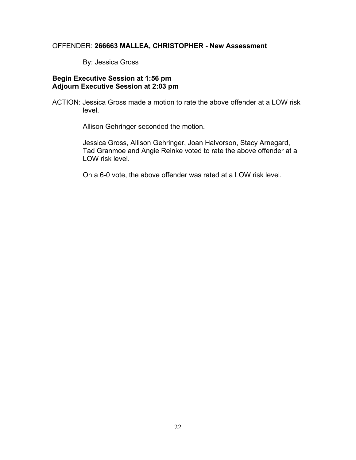## OFFENDER: **266663 MALLEA, CHRISTOPHER - New Assessment**

By: Jessica Gross

#### **Begin Executive Session at 1:56 pm Adjourn Executive Session at 2:03 pm**

ACTION: Jessica Gross made a motion to rate the above offender at a LOW risk level.

Allison Gehringer seconded the motion.

Jessica Gross, Allison Gehringer, Joan Halvorson, Stacy Arnegard, Tad Granmoe and Angie Reinke voted to rate the above offender at a LOW risk level.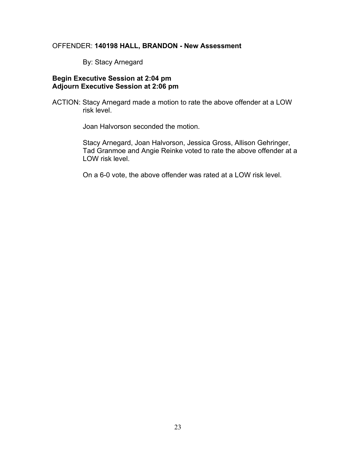## OFFENDER: **140198 HALL, BRANDON - New Assessment**

By: Stacy Arnegard

## **Begin Executive Session at 2:04 pm Adjourn Executive Session at 2:06 pm**

ACTION: Stacy Arnegard made a motion to rate the above offender at a LOW risk level.

Joan Halvorson seconded the motion.

Stacy Arnegard, Joan Halvorson, Jessica Gross, Allison Gehringer, Tad Granmoe and Angie Reinke voted to rate the above offender at a LOW risk level.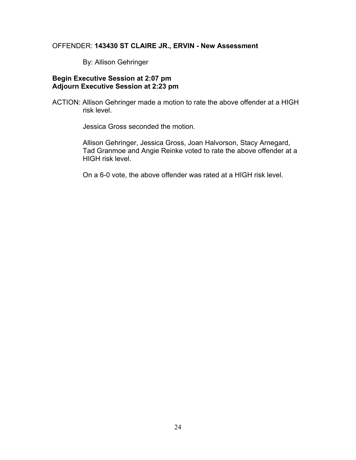#### OFFENDER: **143430 ST CLAIRE JR., ERVIN - New Assessment**

By: Allison Gehringer

## **Begin Executive Session at 2:07 pm Adjourn Executive Session at 2:23 pm**

ACTION: Allison Gehringer made a motion to rate the above offender at a HIGH risk level.

Jessica Gross seconded the motion.

Allison Gehringer, Jessica Gross, Joan Halvorson, Stacy Arnegard, Tad Granmoe and Angie Reinke voted to rate the above offender at a HIGH risk level.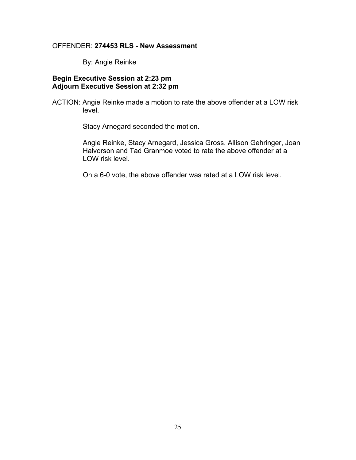#### OFFENDER: **274453 RLS - New Assessment**

By: Angie Reinke

#### **Begin Executive Session at 2:23 pm Adjourn Executive Session at 2:32 pm**

ACTION: Angie Reinke made a motion to rate the above offender at a LOW risk level.

Stacy Arnegard seconded the motion.

Angie Reinke, Stacy Arnegard, Jessica Gross, Allison Gehringer, Joan Halvorson and Tad Granmoe voted to rate the above offender at a LOW risk level.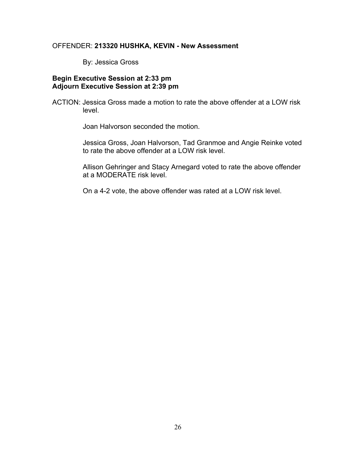#### OFFENDER: **213320 HUSHKA, KEVIN - New Assessment**

By: Jessica Gross

#### **Begin Executive Session at 2:33 pm Adjourn Executive Session at 2:39 pm**

ACTION: Jessica Gross made a motion to rate the above offender at a LOW risk level.

Joan Halvorson seconded the motion.

Jessica Gross, Joan Halvorson, Tad Granmoe and Angie Reinke voted to rate the above offender at a LOW risk level.

Allison Gehringer and Stacy Arnegard voted to rate the above offender at a MODERATE risk level.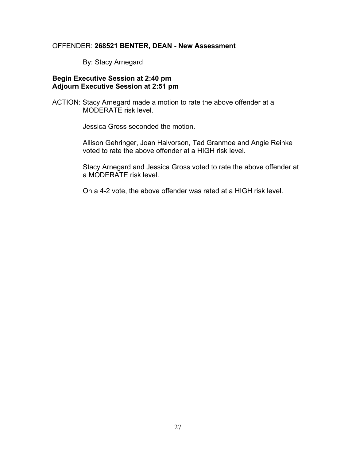#### OFFENDER: **268521 BENTER, DEAN - New Assessment**

By: Stacy Arnegard

#### **Begin Executive Session at 2:40 pm Adjourn Executive Session at 2:51 pm**

ACTION: Stacy Arnegard made a motion to rate the above offender at a MODERATE risk level.

Jessica Gross seconded the motion.

Allison Gehringer, Joan Halvorson, Tad Granmoe and Angie Reinke voted to rate the above offender at a HIGH risk level.

Stacy Arnegard and Jessica Gross voted to rate the above offender at a MODERATE risk level.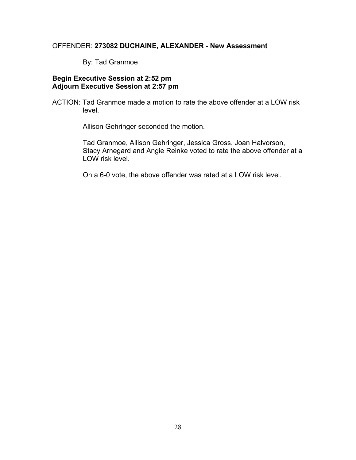### OFFENDER: **273082 DUCHAINE, ALEXANDER - New Assessment**

By: Tad Granmoe

#### **Begin Executive Session at 2:52 pm Adjourn Executive Session at 2:57 pm**

ACTION: Tad Granmoe made a motion to rate the above offender at a LOW risk level.

Allison Gehringer seconded the motion.

Tad Granmoe, Allison Gehringer, Jessica Gross, Joan Halvorson, Stacy Arnegard and Angie Reinke voted to rate the above offender at a LOW risk level.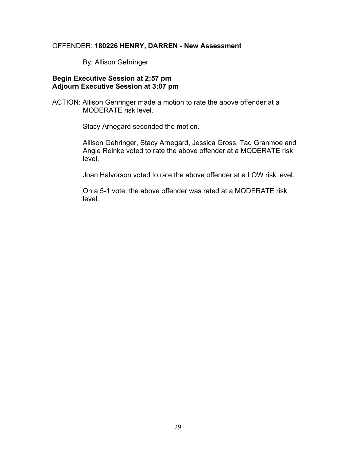#### OFFENDER: **180226 HENRY, DARREN - New Assessment**

By: Allison Gehringer

#### **Begin Executive Session at 2:57 pm Adjourn Executive Session at 3:07 pm**

ACTION: Allison Gehringer made a motion to rate the above offender at a MODERATE risk level.

Stacy Arnegard seconded the motion.

Allison Gehringer, Stacy Arnegard, Jessica Gross, Tad Granmoe and Angie Reinke voted to rate the above offender at a MODERATE risk level.

Joan Halvorson voted to rate the above offender at a LOW risk level.